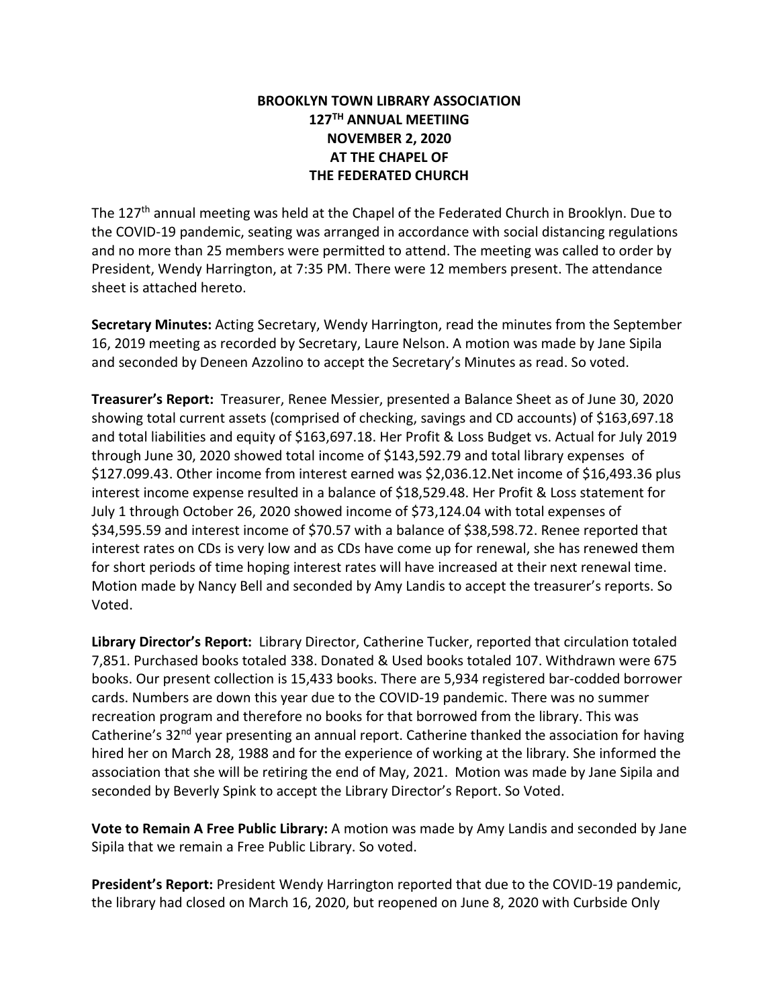## **BROOKLYN TOWN LIBRARY ASSOCIATION 127TH ANNUAL MEETIING NOVEMBER 2, 2020 AT THE CHAPEL OF THE FEDERATED CHURCH**

The 127<sup>th</sup> annual meeting was held at the Chapel of the Federated Church in Brooklyn. Due to the COVID-19 pandemic, seating was arranged in accordance with social distancing regulations and no more than 25 members were permitted to attend. The meeting was called to order by President, Wendy Harrington, at 7:35 PM. There were 12 members present. The attendance sheet is attached hereto.

**Secretary Minutes:** Acting Secretary, Wendy Harrington, read the minutes from the September 16, 2019 meeting as recorded by Secretary, Laure Nelson. A motion was made by Jane Sipila and seconded by Deneen Azzolino to accept the Secretary's Minutes as read. So voted.

**Treasurer's Report:** Treasurer, Renee Messier, presented a Balance Sheet as of June 30, 2020 showing total current assets (comprised of checking, savings and CD accounts) of \$163,697.18 and total liabilities and equity of \$163,697.18. Her Profit & Loss Budget vs. Actual for July 2019 through June 30, 2020 showed total income of \$143,592.79 and total library expenses of \$127.099.43. Other income from interest earned was \$2,036.12.Net income of \$16,493.36 plus interest income expense resulted in a balance of \$18,529.48. Her Profit & Loss statement for July 1 through October 26, 2020 showed income of \$73,124.04 with total expenses of \$34,595.59 and interest income of \$70.57 with a balance of \$38,598.72. Renee reported that interest rates on CDs is very low and as CDs have come up for renewal, she has renewed them for short periods of time hoping interest rates will have increased at their next renewal time. Motion made by Nancy Bell and seconded by Amy Landis to accept the treasurer's reports. So Voted.

**Library Director's Report:** Library Director, Catherine Tucker, reported that circulation totaled 7,851. Purchased books totaled 338. Donated & Used books totaled 107. Withdrawn were 675 books. Our present collection is 15,433 books. There are 5,934 registered bar-codded borrower cards. Numbers are down this year due to the COVID-19 pandemic. There was no summer recreation program and therefore no books for that borrowed from the library. This was Catherine's 32<sup>nd</sup> year presenting an annual report. Catherine thanked the association for having hired her on March 28, 1988 and for the experience of working at the library. She informed the association that she will be retiring the end of May, 2021. Motion was made by Jane Sipila and seconded by Beverly Spink to accept the Library Director's Report. So Voted.

**Vote to Remain A Free Public Library:** A motion was made by Amy Landis and seconded by Jane Sipila that we remain a Free Public Library. So voted.

**President's Report:** President Wendy Harrington reported that due to the COVID-19 pandemic, the library had closed on March 16, 2020, but reopened on June 8, 2020 with Curbside Only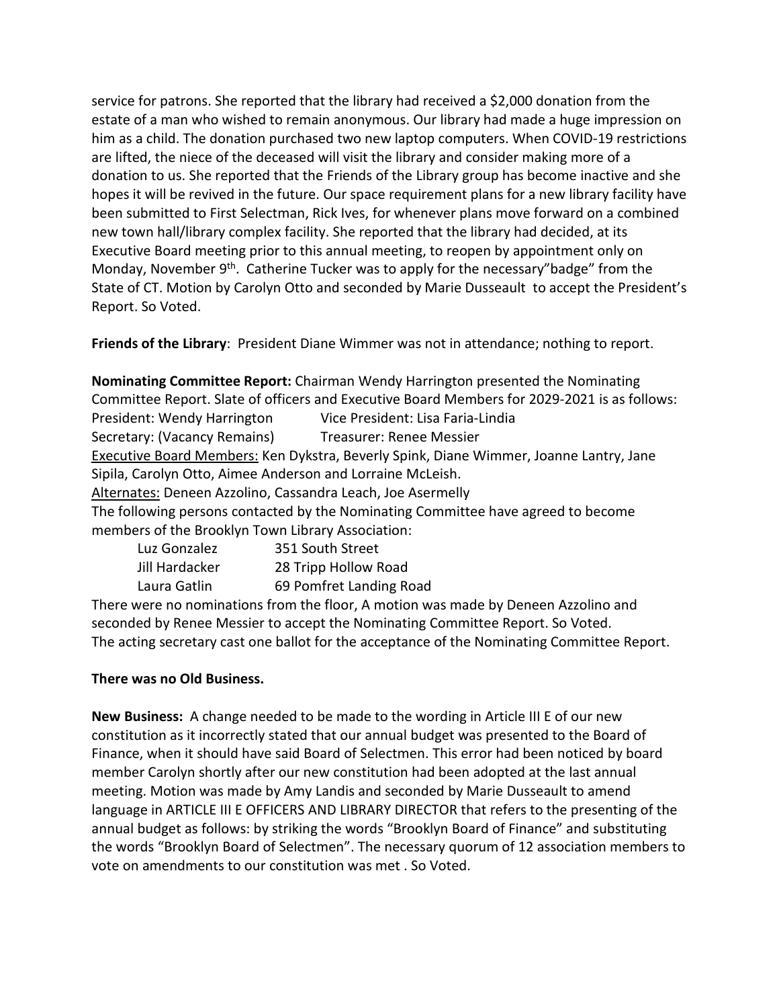service for patrons. She reported that the library had received a \$2,000 donation from the estate of a man who wished to remain anonymous. Our library had made a huge impression on him as a child. The donation purchased two new laptop computers. When COVID-19 restrictions are lifted, the niece of the deceased will visit the library and consider making more of a donation to us. She reported that the Friends of the Library group has become inactive and she hopes it will be revived in the future. Our space requirement plans for a new library facility have been submitted to First Selectman, Rick Ives, for whenever plans move forward on a combined new town hall/library complex facility. She reported that the library had decided, at its Executive Board meeting prior to this annual meeting, to reopen by appointment only on Monday, November 9<sup>th</sup>. Catherine Tucker was to apply for the necessary"badge" from the State of CT. Motion by Carolyn Otto and seconded by Marie Dusseault to accept the President's Report. So Voted.

**Friends of the Library**: President Diane Wimmer was not in attendance; nothing to report.

**Nominating Committee Report:** Chairman Wendy Harrington presented the Nominating Committee Report. Slate of officers and Executive Board Members for 2029-2021 is as follows: President: Wendy Harrington Vice President: Lisa Faria-Lindia Secretary: (Vacancy Remains) Treasurer: Renee Messier Executive Board Members: Ken Dykstra, Beverly Spink, Diane Wimmer, Joanne Lantry, Jane Sipila, Carolyn Otto, Aimee Anderson and Lorraine McLeish. Alternates: Deneen Azzolino, Cassandra Leach, Joe Asermelly The following persons contacted by the Nominating Committee have agreed to become members of the Brooklyn Town Library Association: Luz Gonzalez 351 South Street

| Luz Gonzalez   | 351 South Street        |
|----------------|-------------------------|
| Jill Hardacker | 28 Tripp Hollow Road    |
| Laura Gatlin   | 69 Pomfret Landing Road |

There were no nominations from the floor, A motion was made by Deneen Azzolino and seconded by Renee Messier to accept the Nominating Committee Report. So Voted. The acting secretary cast one ballot for the acceptance of the Nominating Committee Report.

## **There was no Old Business.**

**New Business:** A change needed to be made to the wording in Article III E of our new constitution as it incorrectly stated that our annual budget was presented to the Board of Finance, when it should have said Board of Selectmen. This error had been noticed by board member Carolyn shortly after our new constitution had been adopted at the last annual meeting. Motion was made by Amy Landis and seconded by Marie Dusseault to amend language in ARTICLE III E OFFICERS AND LIBRARY DIRECTOR that refers to the presenting of the annual budget as follows: by striking the words "Brooklyn Board of Finance" and substituting the words "Brooklyn Board of Selectmen". The necessary quorum of 12 association members to vote on amendments to our constitution was met . So Voted.